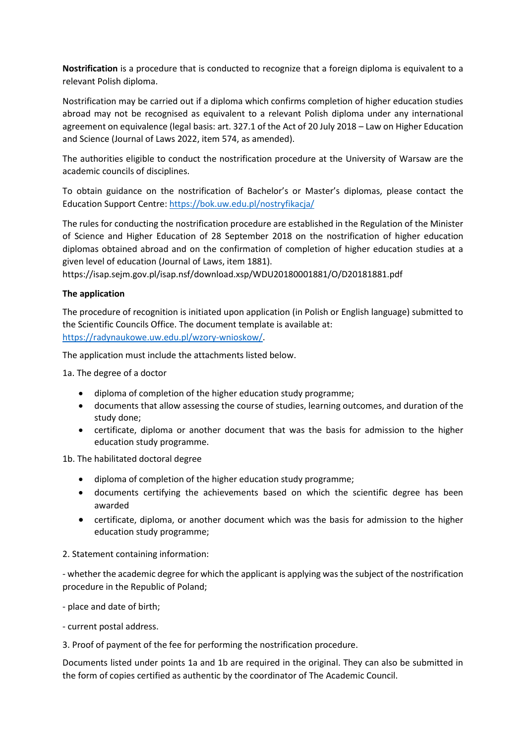**Nostrification** is a procedure that is conducted to recognize that a foreign diploma is equivalent to a relevant Polish diploma.

Nostrification may be carried out if a diploma which confirms completion of higher education studies abroad may not be recognised as equivalent to a relevant Polish diploma under any international agreement on equivalence (legal basis: art. 327.1 of the Act of 20 July 2018 – Law on Higher Education and Science (Journal of Laws 2022, item 574, as amended).

The authorities eligible to conduct the nostrification procedure at the University of Warsaw are the academic councils of disciplines.

To obtain guidance on the nostrification of Bachelor's or Master's diplomas, please contact the Education Support Centre[: https://bok.uw.edu.pl/nostryfikacja/](https://bok.uw.edu.pl/nostryfikacja/)

The rules for conducting the nostrification procedure are established in the Regulation of the Minister of Science and Higher Education of 28 September 2018 on the nostrification of higher education diplomas obtained abroad and on the confirmation of completion of higher education studies at a given level of education (Journal of Laws, item 1881).

https://isap.sejm.gov.pl/isap.nsf/download.xsp/WDU20180001881/O/D20181881.pdf

## **The application**

The procedure of recognition is initiated upon application (in Polish or English language) submitted to the Scientific Councils Office. The document template is available at: [https://radynaukowe.uw.edu.pl/wzory-wnioskow/.](https://radynaukowe.uw.edu.pl/wzory-wnioskow/)

The application must include the attachments listed below.

1a. The degree of a doctor

- diploma of completion of the higher education study programme;
- documents that allow assessing the course of studies, learning outcomes, and duration of the study done;
- certificate, diploma or another document that was the basis for admission to the higher education study programme.

1b. The habilitated doctoral degree

- diploma of completion of the higher education study programme;
- documents certifying the achievements based on which the scientific degree has been awarded
- certificate, diploma, or another document which was the basis for admission to the higher education study programme;

## 2. Statement containing information:

- whether the academic degree for which the applicant is applying was the subject of the nostrification procedure in the Republic of Poland;

- place and date of birth;

- current postal address.

3. Proof of payment of the fee for performing the nostrification procedure.

Documents listed under points 1a and 1b are required in the original. They can also be submitted in the form of copies certified as authentic by the coordinator of The Academic Council.